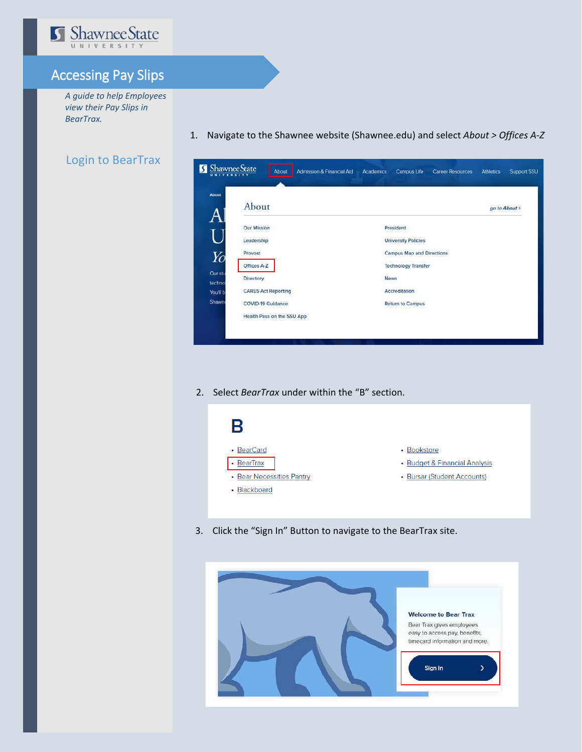

## Accessing Pay Slips

*A guide to help Employees view their Pay Slips in BearTrax.*

## Login to BearTrax

1. Navigate to the Shawnee website (Shawnee.edu) and select *About > Offices A-Z* 

| <b>About</b>                             |                                  |  |  |  |
|------------------------------------------|----------------------------------|--|--|--|
| About                                    | go to About >                    |  |  |  |
| <b>Our Mission</b>                       | President                        |  |  |  |
| Leadership                               | <b>University Policies</b>       |  |  |  |
| Provost<br>Yo                            | <b>Campus Map and Directions</b> |  |  |  |
| Offices A-Z                              | <b>Technology Transfer</b>       |  |  |  |
| Our stu<br>Directory<br>techno           | <b>News</b>                      |  |  |  |
| <b>CARES Act Reporting</b><br>You'll b   | Accreditation                    |  |  |  |
| <b>Shawn</b><br><b>COVID-19 Guidance</b> | <b>Return to Campus</b>          |  |  |  |
| Health Pass on the SSU App               |                                  |  |  |  |

2. Select *BearTrax* under within the "B" section.



3. Click the "Sign In" Button to navigate to the BearTrax site.

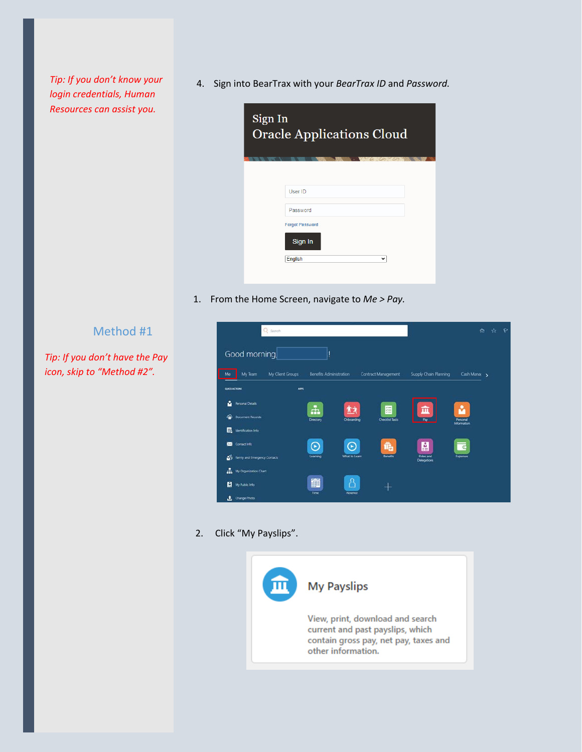*Tip: If you don't know your login credentials, Human Resources can assist you.* 

4. Sign into BearTrax with your *BearTrax ID* and *Password.*

| Sign In<br><b>Oracle Applications Cloud</b> |              |
|---------------------------------------------|--------------|
| User ID                                     |              |
| Password<br><b>Forgot Password</b>          |              |
| Sign In<br><b>English</b>                   | $\checkmark$ |

1. From the Home Screen, navigate to *Me > Pay.*

## Method #1

*Tip: If you don't have the Pay icon, skip to "Method #2".*



## 2. Click "My Payslips".

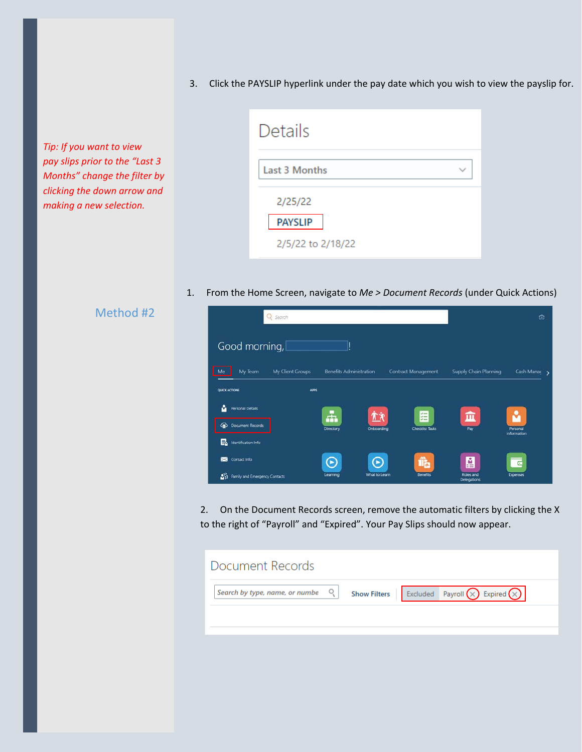3. Click the PAYSLIP hyperlink under the pay date which you wish to view the payslip for.

*Tip: If you want to view pay slips prior to the "Last 3 Months" change the filter by clicking the down arrow and making a new selection.*

| Details                                        |  |
|------------------------------------------------|--|
| Last 3 Months                                  |  |
| 2/25/22<br><b>PAYSLIP</b><br>2/5/22 to 2/18/22 |  |

1. From the Home Screen, navigate to *Me > Document Records* (under Quick Actions)

|  | Method #2 |
|--|-----------|
|  |           |

|                                    | Q search         |                                |               |                        |                          | ⋒                       |  |
|------------------------------------|------------------|--------------------------------|---------------|------------------------|--------------------------|-------------------------|--|
| Good morning,                      |                  | н                              |               |                        |                          |                         |  |
| My Team<br>Me                      | My Client Groups | <b>Benefits Administration</b> |               | Contract Management    | Supply Chain Planning    | Cash Manac              |  |
| <b>QUICK ACTIONS</b>               | <b>APPS</b>      |                                |               |                        |                          |                         |  |
| ů<br><b>Personal Details</b>       |                  | ÷                              | 广文            | $z =$<br>$\sim$        | 血                        | v                       |  |
| ⋒<br>Document Records              |                  | Directory                      | Onboarding    | <b>Checklist Tasks</b> | Pay                      | Personal<br>Information |  |
| B<br>Identification Info           |                  |                                |               |                        |                          |                         |  |
| Contact Info<br>⊠                  |                  | O                              | ⊙             | Î.                     | p                        | $\overline{C}$          |  |
| 鄙<br>Family and Emergency Contacts |                  | Learning                       | What to Learn | Benefits               | Roles and<br>Delegations | Expenses                |  |

2. On the Document Records screen, remove the automatic filters by clicking the X to the right of "Payroll" and "Expired". Your Pay Slips should now appear.

| Document Records                                                      |                                                                        |
|-----------------------------------------------------------------------|------------------------------------------------------------------------|
| Search by type, name, or numbe $\begin{bmatrix} 0 \\ 1 \end{bmatrix}$ | <b>Show Filters</b>   Excluded   Payroll $(\times)$ Expired $(\times)$ |
|                                                                       |                                                                        |
|                                                                       |                                                                        |